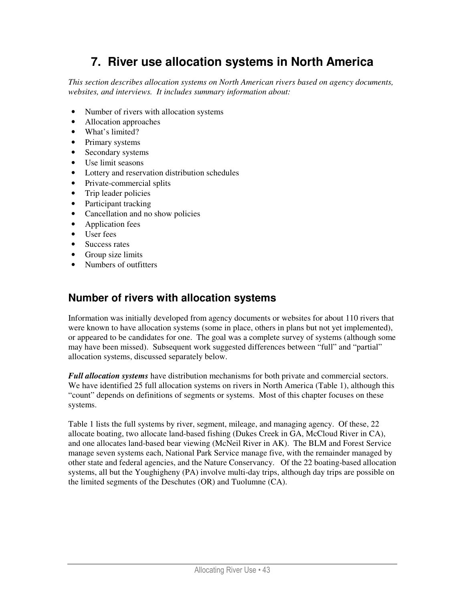# **7. River use allocation systems in North America**

*This section describes allocation systems on North American rivers based on agency documents, websites, and interviews. It includes summary information about:* 

- Number of rivers with allocation systems
- Allocation approaches
- What's limited?
- Primary systems
- Secondary systems
- Use limit seasons
- Lottery and reservation distribution schedules
- Private-commercial splits
- Trip leader policies
- Participant tracking
- Cancellation and no show policies
- Application fees
- User fees
- Success rates
- Group size limits
- Numbers of outfitters

# **Number of rivers with allocation systems**

Information was initially developed from agency documents or websites for about 110 rivers that were known to have allocation systems (some in place, others in plans but not yet implemented), or appeared to be candidates for one. The goal was a complete survey of systems (although some may have been missed). Subsequent work suggested differences between "full" and "partial" allocation systems, discussed separately below.

*Full allocation systems* have distribution mechanisms for both private and commercial sectors. We have identified 25 full allocation systems on rivers in North America (Table 1), although this "count" depends on definitions of segments or systems. Most of this chapter focuses on these systems.

Table 1 lists the full systems by river, segment, mileage, and managing agency. Of these, 22 allocate boating, two allocate land-based fishing (Dukes Creek in GA, McCloud River in CA), and one allocates land-based bear viewing (McNeil River in AK). The BLM and Forest Service manage seven systems each, National Park Service manage five, with the remainder managed by other state and federal agencies, and the Nature Conservancy. Of the 22 boating-based allocation systems, all but the Youghigheny (PA) involve multi-day trips, although day trips are possible on the limited segments of the Deschutes (OR) and Tuolumne (CA).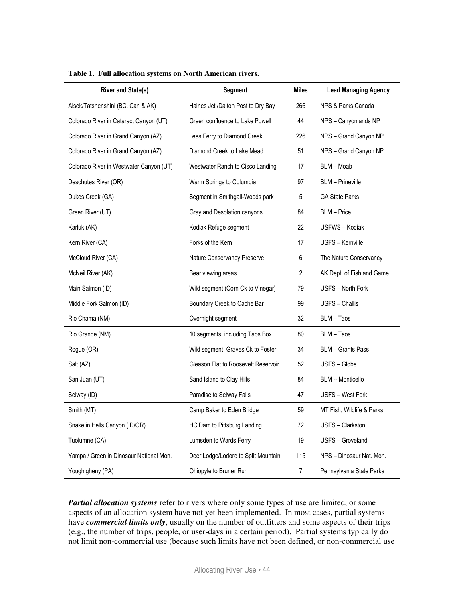| <b>River and State(s)</b>               | <b>Segment</b>                      | <b>Miles</b> | <b>Lead Managing Agency</b> |
|-----------------------------------------|-------------------------------------|--------------|-----------------------------|
| Alsek/Tatshenshini (BC, Can & AK)       | Haines Jct./Dalton Post to Dry Bay  | 266          | NPS & Parks Canada          |
| Colorado River in Cataract Canyon (UT)  | Green confluence to Lake Powell     | 44           | NPS - Canyonlands NP        |
| Colorado River in Grand Canyon (AZ)     | Lees Ferry to Diamond Creek         | 226          | NPS - Grand Canyon NP       |
| Colorado River in Grand Canyon (AZ)     | Diamond Creek to Lake Mead          | 51           | NPS - Grand Canyon NP       |
| Colorado River in Westwater Canyon (UT) | Westwater Ranch to Cisco Landing    | 17           | BLM - Moab                  |
| Deschutes River (OR)                    | Warm Springs to Columbia            | 97           | <b>BLM</b> - Prineville     |
| Dukes Creek (GA)                        | Segment in Smithgall-Woods park     | 5            | <b>GA State Parks</b>       |
| Green River (UT)                        | Gray and Desolation canyons         | 84           | <b>BLM</b> – Price          |
| Karluk (AK)                             | Kodiak Refuge segment               | 22           | USFWS - Kodiak              |
| Kern River (CA)                         | Forks of the Kern                   | 17           | USFS - Kernville            |
| McCloud River (CA)                      | Nature Conservancy Preserve         | 6            | The Nature Conservancy      |
| McNeil River (AK)                       | Bear viewing areas                  | 2            | AK Dept. of Fish and Game   |
| Main Salmon (ID)                        | Wild segment (Corn Ck to Vinegar)   | 79           | USFS - North Fork           |
| Middle Fork Salmon (ID)                 | Boundary Creek to Cache Bar         | 99           | USFS - Challis              |
| Rio Chama (NM)                          | Overnight segment                   | 32           | BLM - Taos                  |
| Rio Grande (NM)                         | 10 segments, including Taos Box     | 80           | BLM – Taos                  |
| Rogue (OR)                              | Wild segment: Graves Ck to Foster   | 34           | <b>BLM</b> – Grants Pass    |
| Salt (AZ)                               | Gleason Flat to Roosevelt Reservoir | 52           | USFS - Globe                |
| San Juan (UT)                           | Sand Island to Clay Hills           | 84           | <b>BLM -- Monticello</b>    |
| Selway (ID)                             | Paradise to Selway Falls            | 47           | USFS - West Fork            |
| Smith (MT)                              | Camp Baker to Eden Bridge           | 59           | MT Fish, Wildlife & Parks   |
| Snake in Hells Canyon (ID/OR)           | HC Dam to Pittsburg Landing         | 72           | USFS - Clarkston            |
| Tuolumne (CA)                           | Lumsden to Wards Ferry              | 19           | USFS - Groveland            |
| Yampa / Green in Dinosaur National Mon. | Deer Lodge/Lodore to Split Mountain | 115          | NPS - Dinosaur Nat. Mon.    |
| Youghigheny (PA)                        | Ohiopyle to Bruner Run              | 7            | Pennsylvania State Parks    |

**Table 1. Full allocation systems on North American rivers.** 

*Partial allocation systems* refer to rivers where only some types of use are limited, or some aspects of an allocation system have not yet been implemented. In most cases, partial systems have *commercial limits only*, usually on the number of outfitters and some aspects of their trips (e.g., the number of trips, people, or user-days in a certain period). Partial systems typically do not limit non-commercial use (because such limits have not been defined, or non-commercial use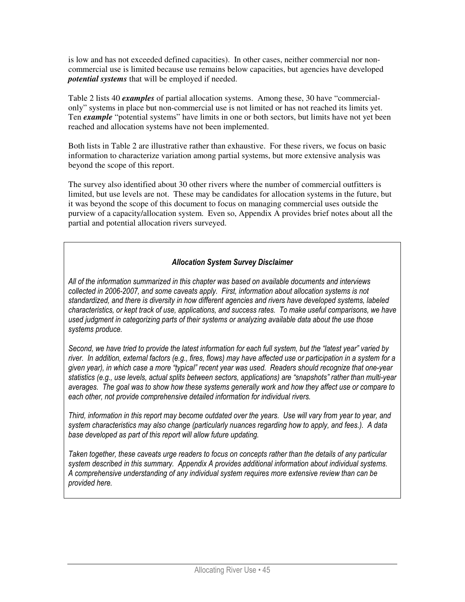is low and has not exceeded defined capacities). In other cases, neither commercial nor noncommercial use is limited because use remains below capacities, but agencies have developed *potential systems* that will be employed if needed.

Table 2 lists 40 *examples* of partial allocation systems. Among these, 30 have "commercialonly" systems in place but non-commercial use is not limited or has not reached its limits yet. Ten *example* "potential systems" have limits in one or both sectors, but limits have not yet been reached and allocation systems have not been implemented.

Both lists in Table 2 are illustrative rather than exhaustive. For these rivers, we focus on basic information to characterize variation among partial systems, but more extensive analysis was beyond the scope of this report.

The survey also identified about 30 other rivers where the number of commercial outfitters is limited, but use levels are not. These may be candidates for allocation systems in the future, but it was beyond the scope of this document to focus on managing commercial uses outside the purview of a capacity/allocation system. Even so, Appendix A provides brief notes about all the partial and potential allocation rivers surveyed.

#### Allocation System Survey Disclaimer

All of the information summarized in this chapter was based on available documents and interviews collected in 2006-2007, and some caveats apply. First, information about allocation systems is not standardized, and there is diversity in how different agencies and rivers have developed systems, labeled characteristics, or kept track of use, applications, and success rates. To make useful comparisons, we have used judgment in categorizing parts of their systems or analyzing available data about the use those systems produce.

Second, we have tried to provide the latest information for each full system, but the "latest year" varied by river. In addition, external factors (e.g., fires, flows) may have affected use or participation in a system for a given year), in which case a more "typical" recent year was used. Readers should recognize that one-year statistics (e.g., use levels, actual splits between sectors, applications) are "snapshots" rather than multi-vear averages. The goal was to show how these systems generally work and how they affect use or compare to each other, not provide comprehensive detailed information for individual rivers.

Third, information in this report may become outdated over the years. Use will vary from year to year, and system characteristics may also change (particularly nuances regarding how to apply, and fees.). A data base developed as part of this report will allow future updating.

Taken together, these caveats urge readers to focus on concepts rather than the details of any particular system described in this summary. Appendix A provides additional information about individual systems. A comprehensive understanding of any individual system requires more extensive review than can be provided here.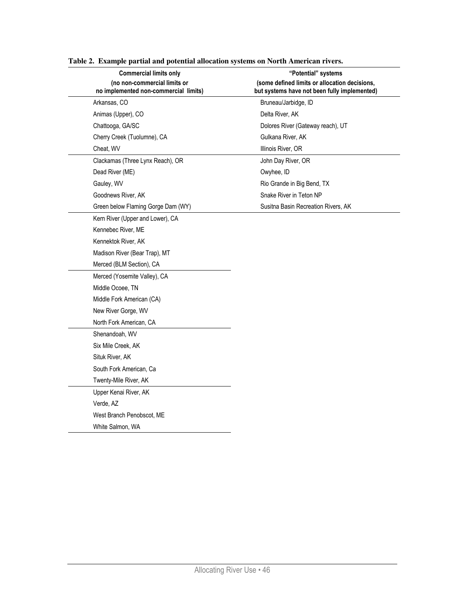| <b>Commercial limits only</b>                                         | "Potential" systems                                                                           |
|-----------------------------------------------------------------------|-----------------------------------------------------------------------------------------------|
| (no non-commercial limits or<br>no implemented non-commercial limits) | (some defined limits or allocation decisions,<br>but systems have not been fully implemented) |
| Arkansas, CO                                                          | Bruneau/Jarbidge, ID                                                                          |
| Animas (Upper), CO                                                    | Delta River, AK                                                                               |
| Chattooga, GA/SC                                                      | Dolores River (Gateway reach), UT                                                             |
| Cherry Creek (Tuolumne), CA                                           | Gulkana River, AK                                                                             |
| Cheat, WV                                                             | Illinois River, OR                                                                            |
| Clackamas (Three Lynx Reach), OR                                      | John Day River, OR                                                                            |
| Dead River (ME)                                                       | Owyhee, ID                                                                                    |
| Gauley, WV                                                            | Rio Grande in Big Bend, TX                                                                    |
| Goodnews River, AK                                                    | Snake River in Teton NP                                                                       |
| Green below Flaming Gorge Dam (WY)                                    | Susitna Basin Recreation Rivers, AK                                                           |
| Kern River (Upper and Lower), CA                                      |                                                                                               |
| Kennebec River, ME                                                    |                                                                                               |
| Kennektok River, AK                                                   |                                                                                               |
| Madison River (Bear Trap), MT                                         |                                                                                               |
| Merced (BLM Section), CA                                              |                                                                                               |
| Merced (Yosemite Valley), CA                                          |                                                                                               |
| Middle Ocoee, TN                                                      |                                                                                               |
| Middle Fork American (CA)                                             |                                                                                               |
| New River Gorge, WV                                                   |                                                                                               |
| North Fork American, CA                                               |                                                                                               |
| Shenandoah, WV                                                        |                                                                                               |
| Six Mile Creek, AK                                                    |                                                                                               |
| Situk River, AK                                                       |                                                                                               |
| South Fork American, Ca                                               |                                                                                               |
| Twenty-Mile River, AK                                                 |                                                                                               |
| Upper Kenai River, AK                                                 |                                                                                               |
| Verde, AZ                                                             |                                                                                               |
| West Branch Penobscot, ME                                             |                                                                                               |
| White Salmon, WA                                                      |                                                                                               |
|                                                                       |                                                                                               |

**Table 2. Example partial and potential allocation systems on North American rivers.**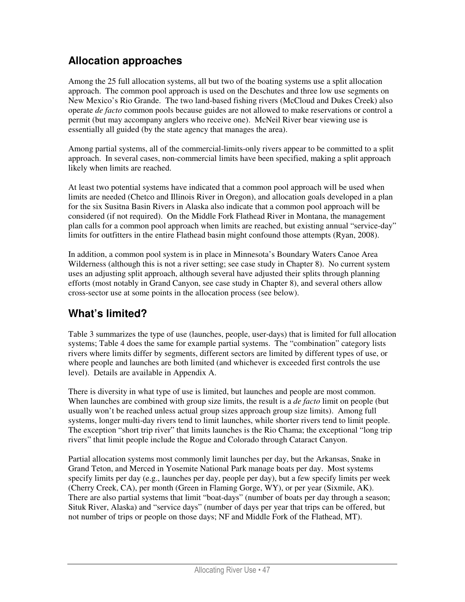# **Allocation approaches**

Among the 25 full allocation systems, all but two of the boating systems use a split allocation approach. The common pool approach is used on the Deschutes and three low use segments on New Mexico's Rio Grande. The two land-based fishing rivers (McCloud and Dukes Creek) also operate *de facto* common pools because guides are not allowed to make reservations or control a permit (but may accompany anglers who receive one). McNeil River bear viewing use is essentially all guided (by the state agency that manages the area).

Among partial systems, all of the commercial-limits-only rivers appear to be committed to a split approach. In several cases, non-commercial limits have been specified, making a split approach likely when limits are reached.

At least two potential systems have indicated that a common pool approach will be used when limits are needed (Chetco and Illinois River in Oregon), and allocation goals developed in a plan for the six Susitna Basin Rivers in Alaska also indicate that a common pool approach will be considered (if not required). On the Middle Fork Flathead River in Montana, the management plan calls for a common pool approach when limits are reached, but existing annual "service-day" limits for outfitters in the entire Flathead basin might confound those attempts (Ryan, 2008).

In addition, a common pool system is in place in Minnesota's Boundary Waters Canoe Area Wilderness (although this is not a river setting; see case study in Chapter 8). No current system uses an adjusting split approach, although several have adjusted their splits through planning efforts (most notably in Grand Canyon, see case study in Chapter 8), and several others allow cross-sector use at some points in the allocation process (see below).

## **What's limited?**

Table 3 summarizes the type of use (launches, people, user-days) that is limited for full allocation systems; Table 4 does the same for example partial systems. The "combination" category lists rivers where limits differ by segments, different sectors are limited by different types of use, or where people and launches are both limited (and whichever is exceeded first controls the use level). Details are available in Appendix A.

There is diversity in what type of use is limited, but launches and people are most common. When launches are combined with group size limits, the result is a *de facto* limit on people (but usually won't be reached unless actual group sizes approach group size limits). Among full systems, longer multi-day rivers tend to limit launches, while shorter rivers tend to limit people. The exception "short trip river" that limits launches is the Rio Chama; the exceptional "long trip rivers" that limit people include the Rogue and Colorado through Cataract Canyon.

Partial allocation systems most commonly limit launches per day, but the Arkansas, Snake in Grand Teton, and Merced in Yosemite National Park manage boats per day. Most systems specify limits per day (e.g., launches per day, people per day), but a few specify limits per week (Cherry Creek, CA), per month (Green in Flaming Gorge, WY), or per year (Sixmile, AK). There are also partial systems that limit "boat-days" (number of boats per day through a season; Situk River, Alaska) and "service days" (number of days per year that trips can be offered, but not number of trips or people on those days; NF and Middle Fork of the Flathead, MT).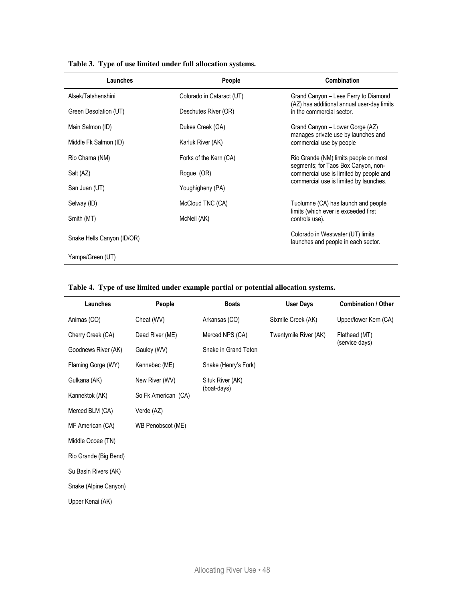| Launches                   | People                    | Combination                                                                    |
|----------------------------|---------------------------|--------------------------------------------------------------------------------|
| Alsek/Tatshenshini         | Colorado in Cataract (UT) | Grand Canyon – Lees Ferry to Diamond                                           |
| Green Desolation (UT)      | Deschutes River (OR)      | (AZ) has additional annual user-day limits<br>in the commercial sector.        |
| Main Salmon (ID)           | Dukes Creek (GA)          | Grand Canyon - Lower Gorge (AZ)                                                |
| Middle Fk Salmon (ID)      | Karluk River (AK)         | manages private use by launches and<br>commercial use by people                |
| Rio Chama (NM)             | Forks of the Kern (CA)    | Rio Grande (NM) limits people on most                                          |
| Salt (AZ)                  | Rogue (OR)                | segments; for Taos Box Canyon, non-<br>commercial use is limited by people and |
| San Juan (UT)              | Youghigheny (PA)          | commercial use is limited by launches.                                         |
| Selway (ID)                | McCloud TNC (CA)          | Tuolumne (CA) has launch and people                                            |
| Smith (MT)                 | McNeil (AK)               | limits (which ever is exceeded first<br>controls use).                         |
| Snake Hells Canyon (ID/OR) |                           | Colorado in Westwater (UT) limits<br>launches and people in each sector.       |
| Yampa/Green (UT)           |                           |                                                                                |

#### **Table 3. Type of use limited under full allocation systems.**

|  |  | Table 4. Type of use limited under example partial or potential allocation systems. |  |
|--|--|-------------------------------------------------------------------------------------|--|
|  |  |                                                                                     |  |

| Launches              | People              | <b>Boats</b>         | <b>User Days</b>      | <b>Combination / Other</b> |
|-----------------------|---------------------|----------------------|-----------------------|----------------------------|
| Animas (CO)           | Cheat (WV)          | Arkansas (CO)        | Sixmile Creek (AK)    | Upper/lower Kern (CA)      |
| Cherry Creek (CA)     | Dead River (ME)     | Merced NPS (CA)      | Twentymile River (AK) | Flathead (MT)              |
| Goodnews River (AK)   | Gauley (WV)         | Snake in Grand Teton |                       | (service days)             |
| Flaming Gorge (WY)    | Kennebec (ME)       | Snake (Henry's Fork) |                       |                            |
| Gulkana (AK)          | New River (WV)      | Situk River (AK)     |                       |                            |
| Kannektok (AK)        | So Fk American (CA) | (boat-days)          |                       |                            |
| Merced BLM (CA)       | Verde (AZ)          |                      |                       |                            |
| MF American (CA)      | WB Penobscot (ME)   |                      |                       |                            |
| Middle Ocoee (TN)     |                     |                      |                       |                            |
| Rio Grande (Big Bend) |                     |                      |                       |                            |
| Su Basin Rivers (AK)  |                     |                      |                       |                            |
| Snake (Alpine Canyon) |                     |                      |                       |                            |
| Upper Kenai (AK)      |                     |                      |                       |                            |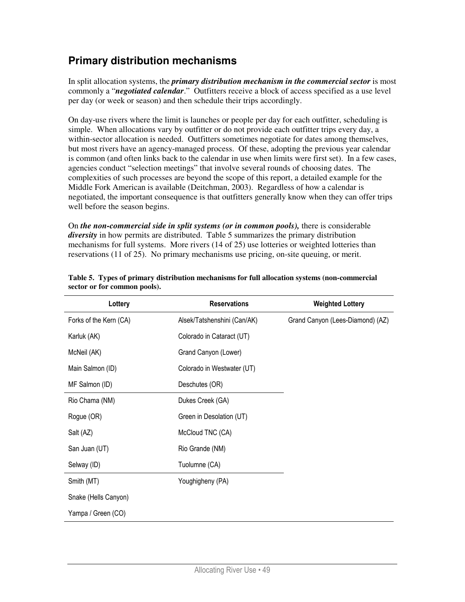### **Primary distribution mechanisms**

In split allocation systems, the *primary distribution mechanism in the commercial sector* is most commonly a "*negotiated calendar*." Outfitters receive a block of access specified as a use level per day (or week or season) and then schedule their trips accordingly.

On day-use rivers where the limit is launches or people per day for each outfitter, scheduling is simple. When allocations vary by outfitter or do not provide each outfitter trips every day, a within-sector allocation is needed. Outfitters sometimes negotiate for dates among themselves, but most rivers have an agency-managed process. Of these, adopting the previous year calendar is common (and often links back to the calendar in use when limits were first set). In a few cases, agencies conduct "selection meetings" that involve several rounds of choosing dates. The complexities of such processes are beyond the scope of this report, a detailed example for the Middle Fork American is available (Deitchman, 2003). Regardless of how a calendar is negotiated, the important consequence is that outfitters generally know when they can offer trips well before the season begins.

On *the non-commercial side in split systems (or in common pools),* there is considerable *diversity* in how permits are distributed. Table 5 summarizes the primary distribution mechanisms for full systems. More rivers (14 of 25) use lotteries or weighted lotteries than reservations (11 of 25). No primary mechanisms use pricing, on-site queuing, or merit.

| Lottery                | <b>Reservations</b>         | <b>Weighted Lottery</b>          |
|------------------------|-----------------------------|----------------------------------|
| Forks of the Kern (CA) | Alsek/Tatshenshini (Can/AK) | Grand Canyon (Lees-Diamond) (AZ) |
| Karluk (AK)            | Colorado in Cataract (UT)   |                                  |
| McNeil (AK)            | Grand Canyon (Lower)        |                                  |
| Main Salmon (ID)       | Colorado in Westwater (UT)  |                                  |
| MF Salmon (ID)         | Deschutes (OR)              |                                  |
| Rio Chama (NM)         | Dukes Creek (GA)            |                                  |
| Rogue (OR)             | Green in Desolation (UT)    |                                  |
| Salt (AZ)              | McCloud TNC (CA)            |                                  |
| San Juan (UT)          | Rio Grande (NM)             |                                  |
| Selway (ID)            | Tuolumne (CA)               |                                  |
| Smith (MT)             | Youghigheny (PA)            |                                  |
| Snake (Hells Canyon)   |                             |                                  |
| Yampa / Green (CO)     |                             |                                  |

| Table 5. Types of primary distribution mechanisms for full allocation systems (non-commercial |  |  |  |  |
|-----------------------------------------------------------------------------------------------|--|--|--|--|
| sector or for common pools).                                                                  |  |  |  |  |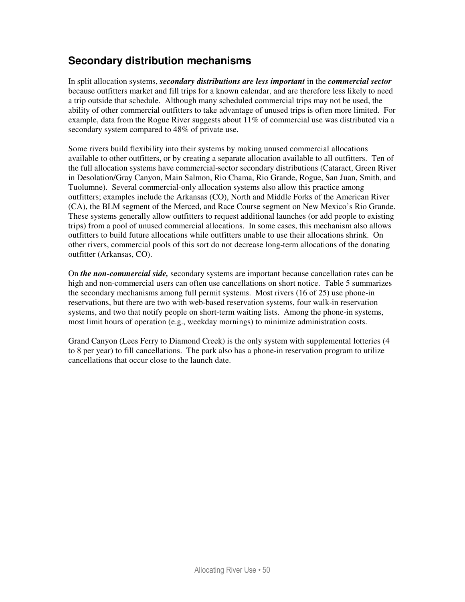## **Secondary distribution mechanisms**

In split allocation systems, *secondary distributions are less important* in the *commercial sector* because outfitters market and fill trips for a known calendar, and are therefore less likely to need a trip outside that schedule. Although many scheduled commercial trips may not be used, the ability of other commercial outfitters to take advantage of unused trips is often more limited. For example, data from the Rogue River suggests about  $11\%$  of commercial use was distributed via a secondary system compared to 48% of private use.

Some rivers build flexibility into their systems by making unused commercial allocations available to other outfitters, or by creating a separate allocation available to all outfitters. Ten of the full allocation systems have commercial-sector secondary distributions (Cataract, Green River in Desolation/Gray Canyon, Main Salmon, Rio Chama, Rio Grande, Rogue, San Juan, Smith, and Tuolumne). Several commercial-only allocation systems also allow this practice among outfitters; examples include the Arkansas (CO), North and Middle Forks of the American River (CA), the BLM segment of the Merced, and Race Course segment on New Mexico's Rio Grande. These systems generally allow outfitters to request additional launches (or add people to existing trips) from a pool of unused commercial allocations. In some cases, this mechanism also allows outfitters to build future allocations while outfitters unable to use their allocations shrink. On other rivers, commercial pools of this sort do not decrease long-term allocations of the donating outfitter (Arkansas, CO).

On *the non-commercial side,* secondary systems are important because cancellation rates can be high and non-commercial users can often use cancellations on short notice. Table 5 summarizes the secondary mechanisms among full permit systems. Most rivers (16 of 25) use phone-in reservations, but there are two with web-based reservation systems, four walk-in reservation systems, and two that notify people on short-term waiting lists. Among the phone-in systems, most limit hours of operation (e.g., weekday mornings) to minimize administration costs.

Grand Canyon (Lees Ferry to Diamond Creek) is the only system with supplemental lotteries (4 to 8 per year) to fill cancellations. The park also has a phone-in reservation program to utilize cancellations that occur close to the launch date.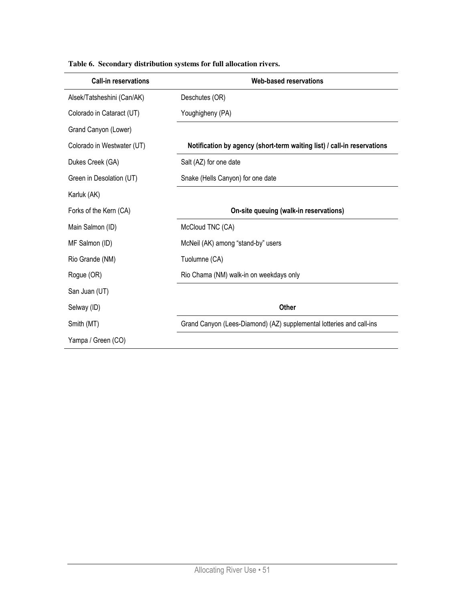| <b>Call-in reservations</b> | Web-based reservations                                                  |
|-----------------------------|-------------------------------------------------------------------------|
| Alsek/Tatsheshini (Can/AK)  | Deschutes (OR)                                                          |
| Colorado in Cataract (UT)   | Youghigheny (PA)                                                        |
| Grand Canyon (Lower)        |                                                                         |
| Colorado in Westwater (UT)  | Notification by agency (short-term waiting list) / call-in reservations |
| Dukes Creek (GA)            | Salt (AZ) for one date                                                  |
| Green in Desolation (UT)    | Snake (Hells Canyon) for one date                                       |
| Karluk (AK)                 |                                                                         |
| Forks of the Kern (CA)      | On-site queuing (walk-in reservations)                                  |
| Main Salmon (ID)            | McCloud TNC (CA)                                                        |
| MF Salmon (ID)              | McNeil (AK) among "stand-by" users                                      |
| Rio Grande (NM)             | Tuolumne (CA)                                                           |
| Rogue (OR)                  | Rio Chama (NM) walk-in on weekdays only                                 |
| San Juan (UT)               |                                                                         |
| Selway (ID)                 | <b>Other</b>                                                            |
| Smith (MT)                  | Grand Canyon (Lees-Diamond) (AZ) supplemental lotteries and call-ins    |
| Yampa / Green (CO)          |                                                                         |

#### **Table 6. Secondary distribution systems for full allocation rivers.**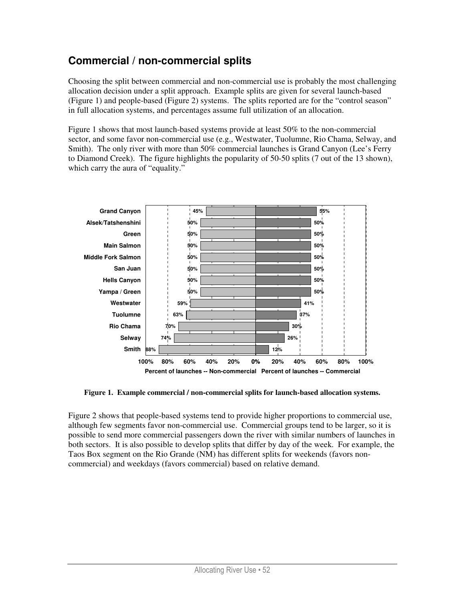## **Commercial / non-commercial splits**

Choosing the split between commercial and non-commercial use is probably the most challenging allocation decision under a split approach. Example splits are given for several launch-based (Figure 1) and people-based (Figure 2) systems. The splits reported are for the "control season" in full allocation systems, and percentages assume full utilization of an allocation.

Figure 1 shows that most launch-based systems provide at least 50% to the non-commercial sector, and some favor non-commercial use (e.g., Westwater, Tuolumne, Rio Chama, Selway, and Smith). The only river with more than 50% commercial launches is Grand Canyon (Lee's Ferry to Diamond Creek). The figure highlights the popularity of 50-50 splits (7 out of the 13 shown), which carry the aura of "equality."



**Figure 1. Example commercial / non-commercial splits for launch-based allocation systems.** 

Figure 2 shows that people-based systems tend to provide higher proportions to commercial use, although few segments favor non-commercial use. Commercial groups tend to be larger, so it is possible to send more commercial passengers down the river with similar numbers of launches in both sectors. It is also possible to develop splits that differ by day of the week. For example, the Taos Box segment on the Rio Grande (NM) has different splits for weekends (favors noncommercial) and weekdays (favors commercial) based on relative demand.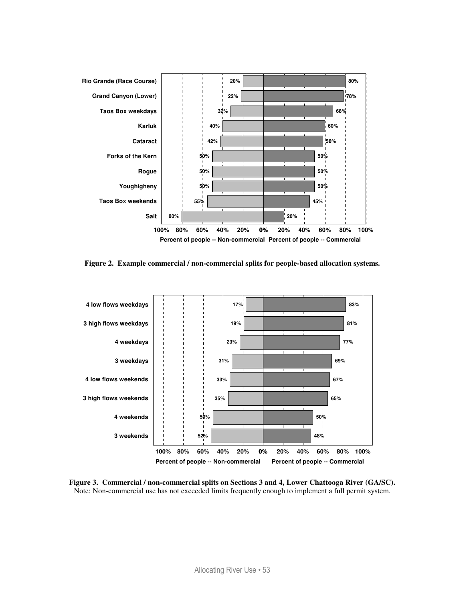

**Figure 2. Example commercial / non-commercial splits for people-based allocation systems.** 



**Figure 3. Commercial / non-commercial splits on Sections 3 and 4, Lower Chattooga River (GA/SC).**  Note: Non-commercial use has not exceeded limits frequently enough to implement a full permit system.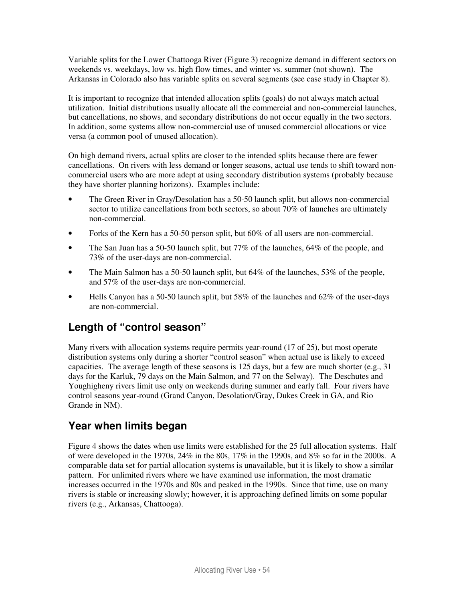Variable splits for the Lower Chattooga River (Figure 3) recognize demand in different sectors on weekends vs. weekdays, low vs. high flow times, and winter vs. summer (not shown). The Arkansas in Colorado also has variable splits on several segments (see case study in Chapter 8).

It is important to recognize that intended allocation splits (goals) do not always match actual utilization. Initial distributions usually allocate all the commercial and non-commercial launches, but cancellations, no shows, and secondary distributions do not occur equally in the two sectors. In addition, some systems allow non-commercial use of unused commercial allocations or vice versa (a common pool of unused allocation).

On high demand rivers, actual splits are closer to the intended splits because there are fewer cancellations. On rivers with less demand or longer seasons, actual use tends to shift toward noncommercial users who are more adept at using secondary distribution systems (probably because they have shorter planning horizons). Examples include:

- The Green River in Gray/Desolation has a 50-50 launch split, but allows non-commercial sector to utilize cancellations from both sectors, so about 70% of launches are ultimately non-commercial.
- Forks of the Kern has a 50-50 person split, but 60% of all users are non-commercial.
- The San Juan has a 50-50 launch split, but 77% of the launches, 64% of the people, and 73% of the user-days are non-commercial.
- The Main Salmon has a 50-50 launch split, but 64% of the launches, 53% of the people, and 57% of the user-days are non-commercial.
- Hells Canyon has a 50-50 launch split, but 58% of the launches and 62% of the user-days are non-commercial.

# **Length of "control season"**

Many rivers with allocation systems require permits year-round (17 of 25), but most operate distribution systems only during a shorter "control season" when actual use is likely to exceed capacities. The average length of these seasons is 125 days, but a few are much shorter (e.g., 31) days for the Karluk, 79 days on the Main Salmon, and 77 on the Selway). The Deschutes and Youghigheny rivers limit use only on weekends during summer and early fall. Four rivers have control seasons year-round (Grand Canyon, Desolation/Gray, Dukes Creek in GA, and Rio Grande in NM).

## **Year when limits began**

Figure 4 shows the dates when use limits were established for the 25 full allocation systems. Half of were developed in the 1970s, 24% in the 80s, 17% in the 1990s, and 8% so far in the 2000s. A comparable data set for partial allocation systems is unavailable, but it is likely to show a similar pattern. For unlimited rivers where we have examined use information, the most dramatic increases occurred in the 1970s and 80s and peaked in the 1990s. Since that time, use on many rivers is stable or increasing slowly; however, it is approaching defined limits on some popular rivers (e.g., Arkansas, Chattooga).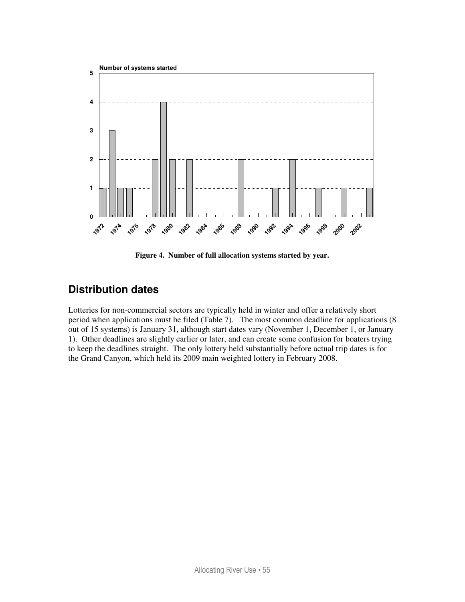

**Figure 4. Number of full allocation systems started by year.** 

# **Distribution dates**

Lotteries for non-commercial sectors are typically held in winter and offer a relatively short period when applications must be filed (Table 7). The most common deadline for applications (8 out of 15 systems) is January 31, although start dates vary (November 1, December 1, or January 1). Other deadlines are slightly earlier or later, and can create some confusion for boaters trying to keep the deadlines straight. The only lottery held substantially before actual trip dates is for the Grand Canyon, which held its 2009 main weighted lottery in February 2008.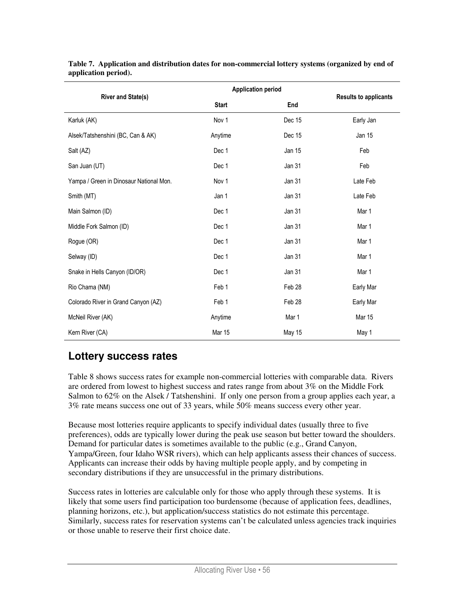| <b>River and State(s)</b>               | <b>Application period</b> | <b>Results to applicants</b> |           |
|-----------------------------------------|---------------------------|------------------------------|-----------|
|                                         | <b>Start</b>              | End                          |           |
| Karluk (AK)                             | Nov 1                     | Dec 15                       | Early Jan |
| Alsek/Tatshenshini (BC, Can & AK)       | Anytime                   | Dec 15                       | Jan 15    |
| Salt (AZ)                               | Dec 1                     | Jan 15                       | Feb       |
| San Juan (UT)                           | Dec 1                     | Jan 31                       | Feb       |
| Yampa / Green in Dinosaur National Mon. | Nov 1                     | Jan 31                       | Late Feb  |
| Smith (MT)                              | Jan 1                     | Jan 31                       | Late Feb  |
| Main Salmon (ID)                        | Dec 1                     | Jan 31                       | Mar 1     |
| Middle Fork Salmon (ID)                 | Dec 1                     | Jan 31                       | Mar 1     |
| Rogue (OR)                              | Dec 1                     | Jan 31                       | Mar 1     |
| Selway (ID)                             | Dec 1                     | Jan 31                       | Mar 1     |
| Snake in Hells Canyon (ID/OR)           | Dec 1                     | Jan 31                       | Mar 1     |
| Rio Chama (NM)                          | Feb 1                     | Feb 28                       | Early Mar |
| Colorado River in Grand Canyon (AZ)     | Feb 1                     | Feb 28                       | Early Mar |
| McNeil River (AK)                       | Anytime                   | Mar 1                        | Mar 15    |
| Kern River (CA)                         | Mar 15                    | <b>May 15</b>                | May 1     |

**Table 7. Application and distribution dates for non-commercial lottery systems (organized by end of application period).** 

### **Lottery success rates**

Table 8 shows success rates for example non-commercial lotteries with comparable data. Rivers are ordered from lowest to highest success and rates range from about 3% on the Middle Fork Salmon to 62% on the Alsek / Tatshenshini. If only one person from a group applies each year, a 3% rate means success one out of 33 years, while 50% means success every other year.

Because most lotteries require applicants to specify individual dates (usually three to five preferences), odds are typically lower during the peak use season but better toward the shoulders. Demand for particular dates is sometimes available to the public (e.g., Grand Canyon, Yampa/Green, four Idaho WSR rivers), which can help applicants assess their chances of success. Applicants can increase their odds by having multiple people apply, and by competing in secondary distributions if they are unsuccessful in the primary distributions.

Success rates in lotteries are calculable only for those who apply through these systems. It is likely that some users find participation too burdensome (because of application fees, deadlines, planning horizons, etc.), but application/success statistics do not estimate this percentage. Similarly, success rates for reservation systems can't be calculated unless agencies track inquiries or those unable to reserve their first choice date.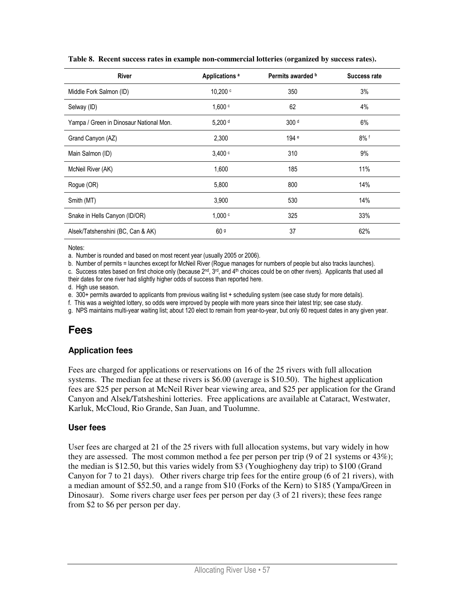| <b>River</b>                            | Applications <sup>a</sup> | Permits awarded b | <b>Success rate</b> |
|-----------------------------------------|---------------------------|-------------------|---------------------|
| Middle Fork Salmon (ID)                 | 10.200 c                  | 350               | 3%                  |
| Selway (ID)                             | 1,600 °                   | 62                | 4%                  |
| Yampa / Green in Dinosaur National Mon. | $5,200$ d                 | 300 d             | 6%                  |
| Grand Canyon (AZ)                       | 2,300                     | 194 <sup>e</sup>  | $8\%$ f             |
| Main Salmon (ID)                        | 3.400 c                   | 310               | 9%                  |
| McNeil River (AK)                       | 1,600                     | 185               | 11%                 |
| Rogue (OR)                              | 5,800                     | 800               | 14%                 |
| Smith (MT)                              | 3,900                     | 530               | 14%                 |
| Snake in Hells Canyon (ID/OR)           | 1,000c                    | 325               | 33%                 |
| Alsek/Tatshenshini (BC, Can & AK)       | 60 <sup>9</sup>           | 37                | 62%                 |

**Table 8. Recent success rates in example non-commercial lotteries (organized by success rates).** 

Notes:

a. Number is rounded and based on most recent year (usually 2005 or 2006).

b. Number of permits = launches except for McNeil River (Rogue manages for numbers of people but also tracks launches).

c. Success rates based on first choice only (because  $2^{nd}$ ,  $3^{rd}$ , and  $4^{th}$  choices could be on other rivers). Applicants that used all their dates for one river had slightly higher odds of success than reported here.

d. High use season.

e. 300+ permits awarded to applicants from previous waiting list + scheduling system (see case study for more details).

f. This was a weighted lottery, so odds were improved by people with more years since their latest trip; see case study.

g. NPS maintains multi-year waiting list; about 120 elect to remain from year-to-year, but only 60 request dates in any given year.

#### **Fees**

#### **Application fees**

Fees are charged for applications or reservations on 16 of the 25 rivers with full allocation systems. The median fee at these rivers is \$6.00 (average is \$10.50). The highest application fees are \$25 per person at McNeil River bear viewing area, and \$25 per application for the Grand Canyon and Alsek/Tatsheshini lotteries. Free applications are available at Cataract, Westwater, Karluk, McCloud, Rio Grande, San Juan, and Tuolumne.

#### **User fees**

User fees are charged at 21 of the 25 rivers with full allocation systems, but vary widely in how they are assessed. The most common method a fee per person per trip (9 of 21 systems or 43%); the median is \$12.50, but this varies widely from \$3 (Youghiogheny day trip) to \$100 (Grand Canyon for 7 to 21 days). Other rivers charge trip fees for the entire group (6 of 21 rivers), with a median amount of \$52.50, and a range from \$10 (Forks of the Kern) to \$185 (Yampa/Green in Dinosaur). Some rivers charge user fees per person per day (3 of 21 rivers); these fees range from \$2 to \$6 per person per day.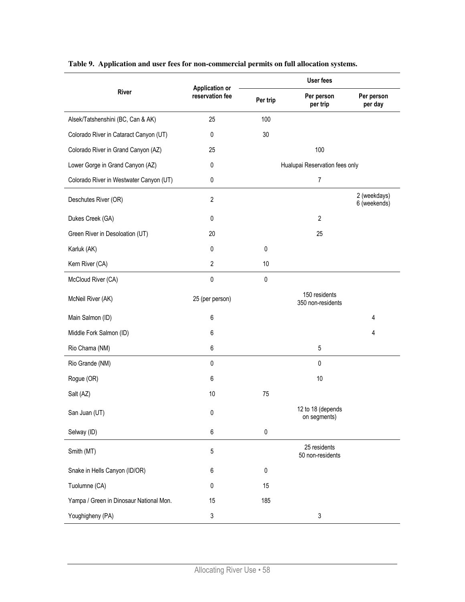|                                         | <b>Application or</b> | <b>User fees</b> |                                    |                              |  |
|-----------------------------------------|-----------------------|------------------|------------------------------------|------------------------------|--|
| <b>River</b>                            | reservation fee       | Per trip         | Per person<br>per trip             | Per person<br>per day        |  |
| Alsek/Tatshenshini (BC, Can & AK)       | 25                    | 100              |                                    |                              |  |
| Colorado River in Cataract Canyon (UT)  | 0                     | 30               |                                    |                              |  |
| Colorado River in Grand Canyon (AZ)     | 25                    |                  | 100                                |                              |  |
| Lower Gorge in Grand Canyon (AZ)        | 0                     |                  | Hualupai Reservation fees only     |                              |  |
| Colorado River in Westwater Canyon (UT) | 0                     |                  | $\overline{7}$                     |                              |  |
| Deschutes River (OR)                    | $\overline{2}$        |                  |                                    | 2 (weekdays)<br>6 (weekends) |  |
| Dukes Creek (GA)                        | 0                     |                  | $\overline{2}$                     |                              |  |
| Green River in Desoloation (UT)         | 20                    |                  | 25                                 |                              |  |
| Karluk (AK)                             | 0                     | $\mathbf 0$      |                                    |                              |  |
| Kern River (CA)                         | $\overline{2}$        | 10               |                                    |                              |  |
| McCloud River (CA)                      | 0                     | $\pmb{0}$        |                                    |                              |  |
| McNeil River (AK)                       | 25 (per person)       |                  | 150 residents<br>350 non-residents |                              |  |
| Main Salmon (ID)                        | 6                     |                  |                                    | 4                            |  |
| Middle Fork Salmon (ID)                 | 6                     |                  |                                    | 4                            |  |
| Rio Chama (NM)                          | 6                     |                  | 5                                  |                              |  |
| Rio Grande (NM)                         | 0                     |                  | 0                                  |                              |  |
| Rogue (OR)                              | 6                     |                  | 10                                 |                              |  |
| Salt (AZ)                               | 10                    | 75               |                                    |                              |  |
| San Juan (UT)                           | 0                     |                  | 12 to 18 (depends<br>on segments)  |                              |  |
| Selway (ID)                             | 6                     | $\pmb{0}$        |                                    |                              |  |
| Smith (MT)                              | 5                     |                  | 25 residents<br>50 non-residents   |                              |  |
| Snake in Hells Canyon (ID/OR)           | 6                     | $\pmb{0}$        |                                    |                              |  |
| Tuolumne (CA)                           | 0                     | 15               |                                    |                              |  |
| Yampa / Green in Dinosaur National Mon. | 15                    | 185              |                                    |                              |  |
| Youghigheny (PA)                        | 3                     |                  | 3                                  |                              |  |

**Table 9. Application and user fees for non-commercial permits on full allocation systems.**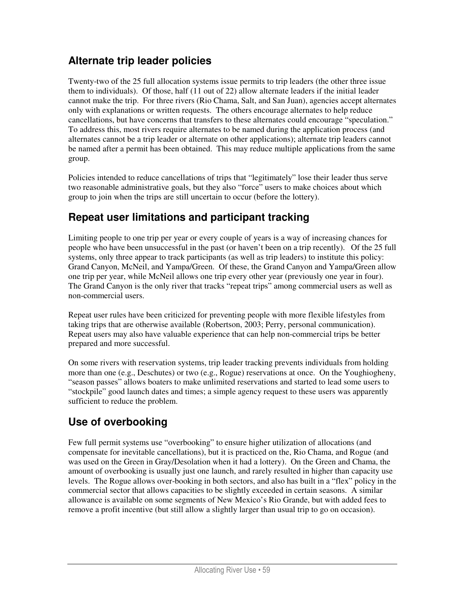## **Alternate trip leader policies**

Twenty-two of the 25 full allocation systems issue permits to trip leaders (the other three issue them to individuals). Of those, half (11 out of 22) allow alternate leaders if the initial leader cannot make the trip. For three rivers (Rio Chama, Salt, and San Juan), agencies accept alternates only with explanations or written requests. The others encourage alternates to help reduce cancellations, but have concerns that transfers to these alternates could encourage "speculation." To address this, most rivers require alternates to be named during the application process (and alternates cannot be a trip leader or alternate on other applications); alternate trip leaders cannot be named after a permit has been obtained. This may reduce multiple applications from the same group.

Policies intended to reduce cancellations of trips that "legitimately" lose their leader thus serve two reasonable administrative goals, but they also "force" users to make choices about which group to join when the trips are still uncertain to occur (before the lottery).

### **Repeat user limitations and participant tracking**

Limiting people to one trip per year or every couple of years is a way of increasing chances for people who have been unsuccessful in the past (or haven't been on a trip recently). Of the 25 full systems, only three appear to track participants (as well as trip leaders) to institute this policy: Grand Canyon, McNeil, and Yampa/Green. Of these, the Grand Canyon and Yampa/Green allow one trip per year, while McNeil allows one trip every other year (previously one year in four). The Grand Canyon is the only river that tracks "repeat trips" among commercial users as well as non-commercial users.

Repeat user rules have been criticized for preventing people with more flexible lifestyles from taking trips that are otherwise available (Robertson, 2003; Perry, personal communication). Repeat users may also have valuable experience that can help non-commercial trips be better prepared and more successful.

On some rivers with reservation systems, trip leader tracking prevents individuals from holding more than one (e.g., Deschutes) or two (e.g., Rogue) reservations at once. On the Youghiogheny, "season passes" allows boaters to make unlimited reservations and started to lead some users to "stockpile" good launch dates and times; a simple agency request to these users was apparently sufficient to reduce the problem.

# **Use of overbooking**

Few full permit systems use "overbooking" to ensure higher utilization of allocations (and compensate for inevitable cancellations), but it is practiced on the, Rio Chama, and Rogue (and was used on the Green in Gray/Desolation when it had a lottery). On the Green and Chama, the amount of overbooking is usually just one launch, and rarely resulted in higher than capacity use levels. The Rogue allows over-booking in both sectors, and also has built in a "flex" policy in the commercial sector that allows capacities to be slightly exceeded in certain seasons. A similar allowance is available on some segments of New Mexico's Rio Grande, but with added fees to remove a profit incentive (but still allow a slightly larger than usual trip to go on occasion).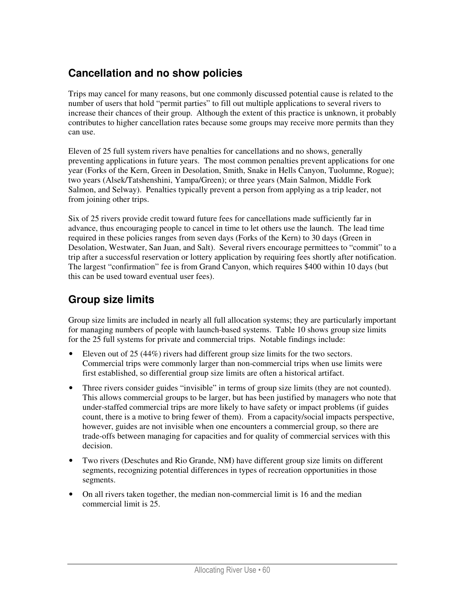## **Cancellation and no show policies**

Trips may cancel for many reasons, but one commonly discussed potential cause is related to the number of users that hold "permit parties" to fill out multiple applications to several rivers to increase their chances of their group. Although the extent of this practice is unknown, it probably contributes to higher cancellation rates because some groups may receive more permits than they can use.

Eleven of 25 full system rivers have penalties for cancellations and no shows, generally preventing applications in future years. The most common penalties prevent applications for one year (Forks of the Kern, Green in Desolation, Smith, Snake in Hells Canyon, Tuolumne, Rogue); two years (Alsek/Tatshenshini, Yampa/Green); or three years (Main Salmon, Middle Fork Salmon, and Selway). Penalties typically prevent a person from applying as a trip leader, not from joining other trips.

Six of 25 rivers provide credit toward future fees for cancellations made sufficiently far in advance, thus encouraging people to cancel in time to let others use the launch. The lead time required in these policies ranges from seven days (Forks of the Kern) to 30 days (Green in Desolation, Westwater, San Juan, and Salt). Several rivers encourage permittees to "commit" to a trip after a successful reservation or lottery application by requiring fees shortly after notification. The largest "confirmation" fee is from Grand Canyon, which requires \$400 within 10 days (but this can be used toward eventual user fees).

## **Group size limits**

Group size limits are included in nearly all full allocation systems; they are particularly important for managing numbers of people with launch-based systems. Table 10 shows group size limits for the 25 full systems for private and commercial trips. Notable findings include:

- Eleven out of 25 (44%) rivers had different group size limits for the two sectors. Commercial trips were commonly larger than non-commercial trips when use limits were first established, so differential group size limits are often a historical artifact.
- Three rivers consider guides "invisible" in terms of group size limits (they are not counted). This allows commercial groups to be larger, but has been justified by managers who note that under-staffed commercial trips are more likely to have safety or impact problems (if guides count, there is a motive to bring fewer of them). From a capacity/social impacts perspective, however, guides are not invisible when one encounters a commercial group, so there are trade-offs between managing for capacities and for quality of commercial services with this decision.
- Two rivers (Deschutes and Rio Grande, NM) have different group size limits on different segments, recognizing potential differences in types of recreation opportunities in those segments.
- On all rivers taken together, the median non-commercial limit is 16 and the median commercial limit is 25.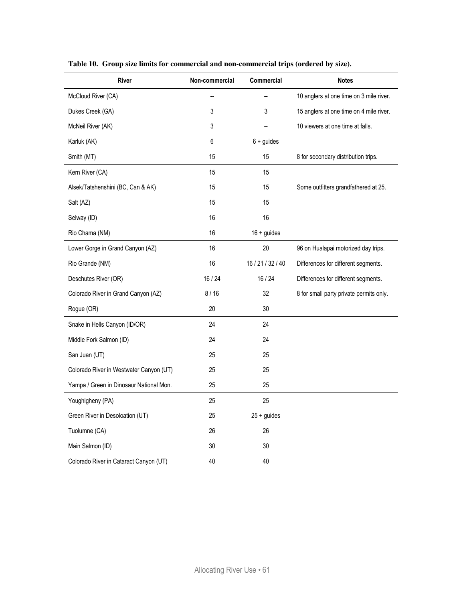| River                                   | Non-commercial | Commercial        | <b>Notes</b>                            |
|-----------------------------------------|----------------|-------------------|-----------------------------------------|
| McCloud River (CA)                      |                |                   | 10 anglers at one time on 3 mile river. |
| Dukes Creek (GA)                        | 3              | 3                 | 15 anglers at one time on 4 mile river. |
| McNeil River (AK)                       | 3              |                   | 10 viewers at one time at falls.        |
| Karluk (AK)                             | 6              | $6 +$ guides      |                                         |
| Smith (MT)                              | 15             | 15                | 8 for secondary distribution trips.     |
| Kern River (CA)                         | 15             | 15                |                                         |
| Alsek/Tatshenshini (BC, Can & AK)       | 15             | 15                | Some outfitters grandfathered at 25.    |
| Salt (AZ)                               | 15             | 15                |                                         |
| Selway (ID)                             | 16             | 16                |                                         |
| Rio Chama (NM)                          | 16             | $16 +$ guides     |                                         |
| Lower Gorge in Grand Canyon (AZ)        | 16             | 20                | 96 on Hualapai motorized day trips.     |
| Rio Grande (NM)                         | 16             | 16 / 21 / 32 / 40 | Differences for different segments.     |
| Deschutes River (OR)                    | 16/24          | 16/24             | Differences for different segments.     |
| Colorado River in Grand Canyon (AZ)     | 8/16           | 32                | 8 for small party private permits only. |
| Rogue (OR)                              | 20             | 30                |                                         |
| Snake in Hells Canyon (ID/OR)           | 24             | 24                |                                         |
| Middle Fork Salmon (ID)                 | 24             | 24                |                                         |
| San Juan (UT)                           | 25             | 25                |                                         |
| Colorado River in Westwater Canyon (UT) | 25             | 25                |                                         |
| Yampa / Green in Dinosaur National Mon. | 25             | 25                |                                         |
| Youghigheny (PA)                        | 25             | 25                |                                         |
| Green River in Desoloation (UT)         | 25             | $25 +$ guides     |                                         |
| Tuolumne (CA)                           | 26             | 26                |                                         |
| Main Salmon (ID)                        | 30             | 30                |                                         |
| Colorado River in Cataract Canyon (UT)  | 40             | 40                |                                         |

**Table 10. Group size limits for commercial and non-commercial trips (ordered by size).**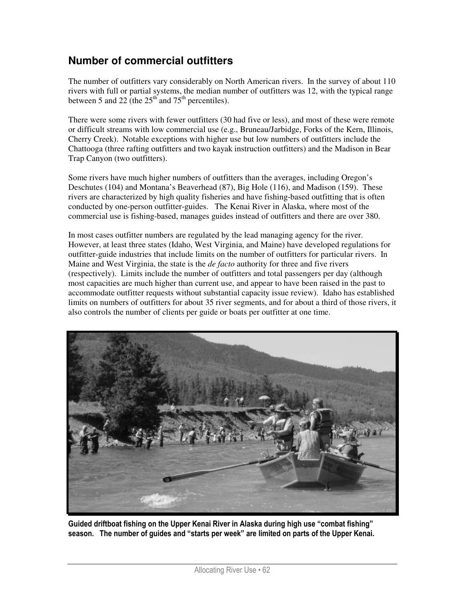### **Number of commercial outfitters**

The number of outfitters vary considerably on North American rivers. In the survey of about 110 rivers with full or partial systems, the median number of outfitters was 12, with the typical range between 5 and 22 (the  $25<sup>th</sup>$  and 75<sup>th</sup> percentiles).

There were some rivers with fewer outfitters (30 had five or less), and most of these were remote or difficult streams with low commercial use (e.g., Bruneau/Jarbidge, Forks of the Kern, Illinois, Cherry Creek). Notable exceptions with higher use but low numbers of outfitters include the Chattooga (three rafting outfitters and two kayak instruction outfitters) and the Madison in Bear Trap Canyon (two outfitters).

Some rivers have much higher numbers of outfitters than the averages, including Oregon's Deschutes (104) and Montana's Beaverhead (87), Big Hole (116), and Madison (159). These rivers are characterized by high quality fisheries and have fishing-based outfitting that is often conducted by one-person outfitter-guides. The Kenai River in Alaska, where most of the commercial use is fishing-based, manages guides instead of outfitters and there are over 380.

In most cases outfitter numbers are regulated by the lead managing agency for the river. However, at least three states (Idaho, West Virginia, and Maine) have developed regulations for outfitter-guide industries that include limits on the number of outfitters for particular rivers. In Maine and West Virginia, the state is the *de facto* authority for three and five rivers (respectively). Limits include the number of outfitters and total passengers per day (although most capacities are much higher than current use, and appear to have been raised in the past to accommodate outfitter requests without substantial capacity issue review). Idaho has established limits on numbers of outfitters for about 35 river segments, and for about a third of those rivers, it also controls the number of clients per guide or boats per outfitter at one time.



Guided driftboat fishing on the Upper Kenai River in Alaska during high use "combat fishing" season. The number of guides and "starts per week" are limited on parts of the Upper Kenai.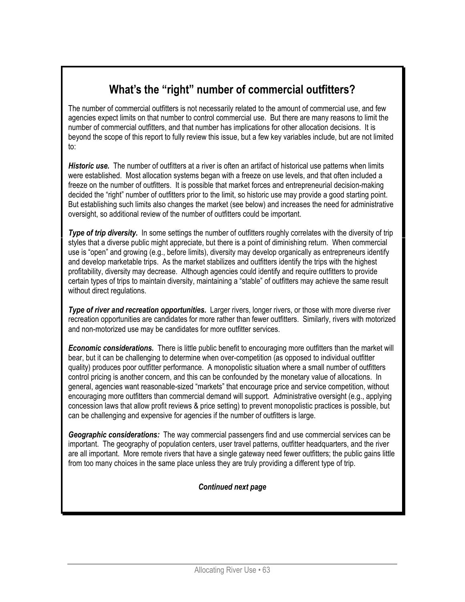# What's the "right" number of commercial outfitters?

The number of commercial outfitters is not necessarily related to the amount of commercial use, and few agencies expect limits on that number to control commercial use. But there are many reasons to limit the number of commercial outfitters, and that number has implications for other allocation decisions. It is beyond the scope of this report to fully review this issue, but a few key variables include, but are not limited to:

Historic use. The number of outfitters at a river is often an artifact of historical use patterns when limits were established. Most allocation systems began with a freeze on use levels, and that often included a freeze on the number of outfitters. It is possible that market forces and entrepreneurial decision-making decided the "right" number of outfitters prior to the limit, so historic use may provide a good starting point. But establishing such limits also changes the market (see below) and increases the need for administrative oversight, so additional review of the number of outfitters could be important.

Type of trip diversity. In some settings the number of outfitters roughly correlates with the diversity of trip styles that a diverse public might appreciate, but there is a point of diminishing return. When commercial use is "open" and growing (e.g., before limits), diversity may develop organically as entrepreneurs identify and develop marketable trips. As the market stabilizes and outfitters identify the trips with the highest profitability, diversity may decrease. Although agencies could identify and require outfitters to provide certain types of trips to maintain diversity, maintaining a "stable" of outfitters may achieve the same result without direct regulations.

Type of river and recreation opportunities. Larger rivers, longer rivers, or those with more diverse river recreation opportunities are candidates for more rather than fewer outfitters. Similarly, rivers with motorized and non-motorized use may be candidates for more outfitter services.

**Economic considerations.** There is little public benefit to encouraging more outfitters than the market will bear, but it can be challenging to determine when over-competition (as opposed to individual outfitter quality) produces poor outfitter performance. A monopolistic situation where a small number of outfitters control pricing is another concern, and this can be confounded by the monetary value of allocations. In general, agencies want reasonable-sized "markets" that encourage price and service competition, without encouraging more outfitters than commercial demand will support. Administrative oversight (e.g., applying concession laws that allow profit reviews & price setting) to prevent monopolistic practices is possible, but can be challenging and expensive for agencies if the number of outfitters is large.

Geographic considerations: The way commercial passengers find and use commercial services can be important. The geography of population centers, user travel patterns, outfitter headquarters, and the river are all important. More remote rivers that have a single gateway need fewer outfitters; the public gains little from too many choices in the same place unless they are truly providing a different type of trip.

#### Continued next page